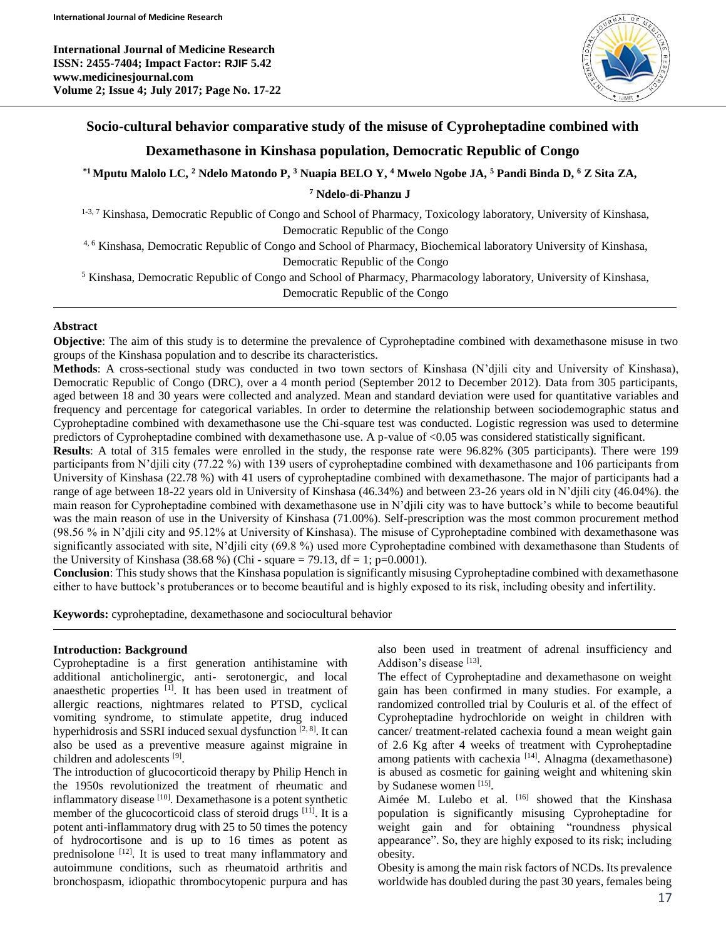**International Journal of Medicine Research ISSN: 2455-7404; Impact Factor: RJIF 5.42 www.medicinesjournal.com Volume 2; Issue 4; July 2017; Page No. 17-22**



# **Socio-cultural behavior comparative study of the misuse of Cyproheptadine combined with**

# **Dexamethasone in Kinshasa population, Democratic Republic of Congo**

**\*1Mputu Malolo LC, <sup>2</sup> Ndelo Matondo P, <sup>3</sup> Nuapia BELO Y, <sup>4</sup> Mwelo Ngobe JA, <sup>5</sup> Pandi Binda D, <sup>6</sup> Z Sita ZA,**

**<sup>7</sup> Ndelo-di-Phanzu J**

1-3, 7 Kinshasa, Democratic Republic of Congo and School of Pharmacy, Toxicology laboratory, University of Kinshasa, Democratic Republic of the Congo

4, 6 Kinshasa, Democratic Republic of Congo and School of Pharmacy, Biochemical laboratory University of Kinshasa, Democratic Republic of the Congo

<sup>5</sup> Kinshasa, Democratic Republic of Congo and School of Pharmacy, Pharmacology laboratory, University of Kinshasa,

Democratic Republic of the Congo

#### **Abstract**

**Objective**: The aim of this study is to determine the prevalence of Cyproheptadine combined with dexamethasone misuse in two groups of the Kinshasa population and to describe its characteristics.

**Methods**: A cross-sectional study was conducted in two town sectors of Kinshasa (N'djili city and University of Kinshasa), Democratic Republic of Congo (DRC), over a 4 month period (September 2012 to December 2012). Data from 305 participants, aged between 18 and 30 years were collected and analyzed. Mean and standard deviation were used for quantitative variables and frequency and percentage for categorical variables. In order to determine the relationship between sociodemographic status and Cyproheptadine combined with dexamethasone use the Chi-square test was conducted. Logistic regression was used to determine predictors of Cyproheptadine combined with dexamethasone use. A p-value of <0.05 was considered statistically significant.

**Results**: A total of 315 females were enrolled in the study, the response rate were 96.82% (305 participants). There were 199 participants from N'djili city (77.22 %) with 139 users of cyproheptadine combined with dexamethasone and 106 participants from University of Kinshasa (22.78 %) with 41 users of cyproheptadine combined with dexamethasone. The major of participants had a range of age between 18-22 years old in University of Kinshasa (46.34%) and between 23-26 years old in N'djili city (46.04%). the main reason for Cyproheptadine combined with dexamethasone use in N'djili city was to have buttock's while to become beautiful was the main reason of use in the University of Kinshasa (71.00%). Self-prescription was the most common procurement method (98.56 % in N'djili city and 95.12% at University of Kinshasa). The misuse of Cyproheptadine combined with dexamethasone was significantly associated with site, N'djili city (69.8 %) used more Cyproheptadine combined with dexamethasone than Students of the University of Kinshasa (38.68 %) (Chi - square = 79.13, df = 1; p=0.0001).

**Conclusion**: This study shows that the Kinshasa population is significantly misusing Cyproheptadine combined with dexamethasone either to have buttock's protuberances or to become beautiful and is highly exposed to its risk, including obesity and infertility.

**Keywords:** cyproheptadine, dexamethasone and sociocultural behavior

#### **Introduction: Background**

Cyproheptadine is a first generation antihistamine with additional anticholinergic, anti- serotonergic, and local anaesthetic properties  $[1]$ . It has been used in treatment of allergic reactions, nightmares related to PTSD, cyclical vomiting syndrome, to stimulate appetite, drug induced hyperhidrosis and SSRI induced sexual dysfunction  $[2, 8]$ . It can also be used as a preventive measure against migraine in children and adolescents<sup>[9]</sup>.

The introduction of glucocorticoid therapy by Philip Hench in the 1950s revolutionized the treatment of rheumatic and inflammatory disease [10]. Dexamethasone is a potent synthetic member of the glucocorticoid class of steroid drugs  $[11]$ . It is a potent anti-inflammatory drug with 25 to 50 times the potency of hydrocortisone and is up to 16 times as potent as prednisolone [12]. It is used to treat many inflammatory and autoimmune conditions, such as rheumatoid arthritis and bronchospasm, idiopathic thrombocytopenic purpura and has

also been used in treatment of adrenal insufficiency and Addison's disease [13].

The effect of Cyproheptadine and dexamethasone on weight gain has been confirmed in many studies. For example, a randomized controlled trial by Couluris et al. of the effect of Cyproheptadine hydrochloride on weight in children with cancer/ treatment-related cachexia found a mean weight gain of 2.6 Kg after 4 weeks of treatment with Cyproheptadine among patients with cachexia <sup>[14]</sup>. Alnagma (dexamethasone) is abused as cosmetic for gaining weight and whitening skin by Sudanese women [15].

Aimée M. Lulebo et al. <a>[16]</a> showed that the Kinshasa population is significantly misusing Cyproheptadine for weight gain and for obtaining "roundness physical appearance". So, they are highly exposed to its risk; including obesity.

Obesity is among the main risk factors of NCDs. Its prevalence worldwide has doubled during the past 30 years, females being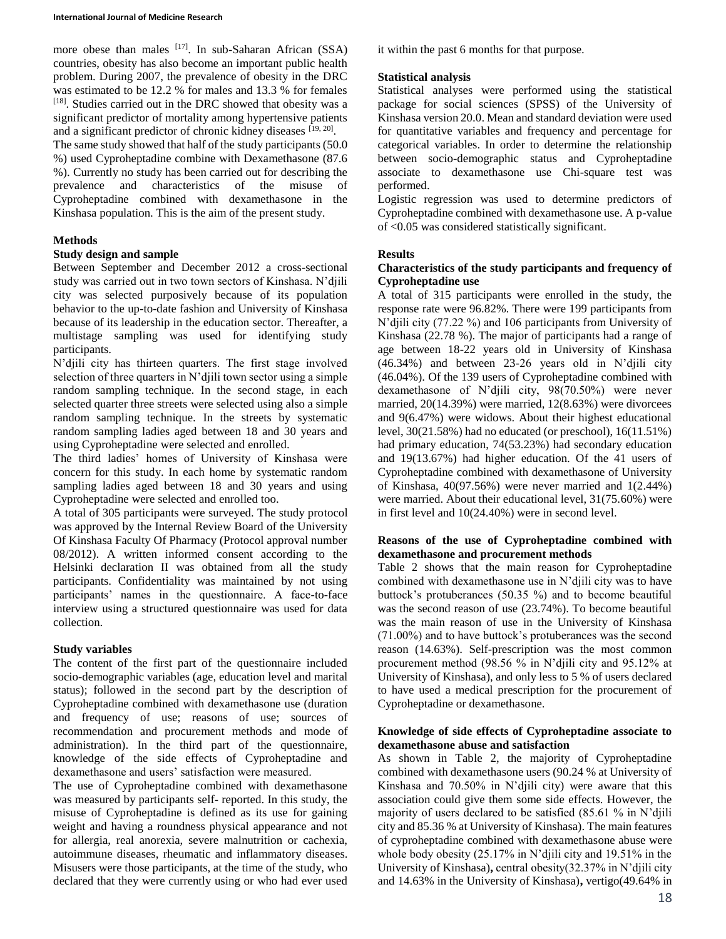#### **International Journal of Medicine Research**

more obese than males <sup>[17]</sup>. In sub-Saharan African (SSA) countries, obesity has also become an important public health problem. During 2007, the prevalence of obesity in the DRC was estimated to be 12.2 % for males and 13.3 % for females [18]. Studies carried out in the DRC showed that obesity was a significant predictor of mortality among hypertensive patients and a significant predictor of chronic kidney diseases [19, 20].

The same study showed that half of the study participants (50.0 %) used Cyproheptadine combine with Dexamethasone (87.6 %). Currently no study has been carried out for describing the prevalence and characteristics of the misuse of Cyproheptadine combined with dexamethasone in the Kinshasa population. This is the aim of the present study.

# **Methods**

# **Study design and sample**

Between September and December 2012 a cross-sectional study was carried out in two town sectors of Kinshasa. N'djili city was selected purposively because of its population behavior to the up-to-date fashion and University of Kinshasa because of its leadership in the education sector. Thereafter, a multistage sampling was used for identifying study participants.

N'djili city has thirteen quarters. The first stage involved selection of three quarters in N'djili town sector using a simple random sampling technique. In the second stage, in each selected quarter three streets were selected using also a simple random sampling technique. In the streets by systematic random sampling ladies aged between 18 and 30 years and using Cyproheptadine were selected and enrolled.

The third ladies' homes of University of Kinshasa were concern for this study. In each home by systematic random sampling ladies aged between 18 and 30 years and using Cyproheptadine were selected and enrolled too.

A total of 305 participants were surveyed. The study protocol was approved by the Internal Review Board of the University Of Kinshasa Faculty Of Pharmacy (Protocol approval number 08/2012). A written informed consent according to the Helsinki declaration II was obtained from all the study participants. Confidentiality was maintained by not using participants' names in the questionnaire. A face-to-face interview using a structured questionnaire was used for data collection.

# **Study variables**

The content of the first part of the questionnaire included socio-demographic variables (age, education level and marital status); followed in the second part by the description of Cyproheptadine combined with dexamethasone use (duration and frequency of use; reasons of use; sources of recommendation and procurement methods and mode of administration). In the third part of the questionnaire, knowledge of the side effects of Cyproheptadine and dexamethasone and users' satisfaction were measured.

The use of Cyproheptadine combined with dexamethasone was measured by participants self- reported. In this study, the misuse of Cyproheptadine is defined as its use for gaining weight and having a roundness physical appearance and not for allergia, real anorexia, severe malnutrition or cachexia, autoimmune diseases, rheumatic and inflammatory diseases. Misusers were those participants, at the time of the study, who declared that they were currently using or who had ever used it within the past 6 months for that purpose.

# **Statistical analysis**

Statistical analyses were performed using the statistical package for social sciences (SPSS) of the University of Kinshasa version 20.0. Mean and standard deviation were used for quantitative variables and frequency and percentage for categorical variables. In order to determine the relationship between socio-demographic status and Cyproheptadine associate to dexamethasone use Chi-square test was performed.

Logistic regression was used to determine predictors of Cyproheptadine combined with dexamethasone use. A p-value of <0.05 was considered statistically significant.

# **Results**

# **Characteristics of the study participants and frequency of Cyproheptadine use**

A total of 315 participants were enrolled in the study, the response rate were 96.82%. There were 199 participants from N'djili city (77.22 %) and 106 participants from University of Kinshasa (22.78 %). The major of participants had a range of age between 18-22 years old in University of Kinshasa (46.34%) and between 23-26 years old in N'djili city (46.04%). Of the 139 users of Cyproheptadine combined with dexamethasone of N'djili city, 98(70.50%) were never married, 20(14.39%) were married, 12(8.63%) were divorcees and 9(6.47%) were widows. About their highest educational level, 30(21.58%) had no educated (or preschool), 16(11.51%) had primary education, 74(53.23%) had secondary education and 19(13.67%) had higher education. Of the 41 users of Cyproheptadine combined with dexamethasone of University of Kinshasa, 40(97.56%) were never married and 1(2.44%) were married. About their educational level, 31(75.60%) were in first level and 10(24.40%) were in second level.

# **Reasons of the use of Cyproheptadine combined with dexamethasone and procurement methods**

Table 2 shows that the main reason for Cyproheptadine combined with dexamethasone use in N'djili city was to have buttock's protuberances (50.35 %) and to become beautiful was the second reason of use (23.74%). To become beautiful was the main reason of use in the University of Kinshasa (71.00%) and to have buttock's protuberances was the second reason (14.63%). Self-prescription was the most common procurement method (98.56 % in N'djili city and 95.12% at University of Kinshasa), and only less to 5 % of users declared to have used a medical prescription for the procurement of Cyproheptadine or dexamethasone.

### **Knowledge of side effects of Cyproheptadine associate to dexamethasone abuse and satisfaction**

As shown in Table 2, the majority of Cyproheptadine combined with dexamethasone users (90.24 % at University of Kinshasa and 70.50% in N'djili city) were aware that this association could give them some side effects. However, the majority of users declared to be satisfied (85.61 % in N'djili city and 85.36 % at University of Kinshasa). The main features of cyproheptadine combined with dexamethasone abuse were whole body obesity (25.17% in N'dilli city and 19.51% in the University of Kinshasa)**,** central obesity(32.37% in N'djili city and 14.63% in the University of Kinshasa)**,** vertigo(49.64% in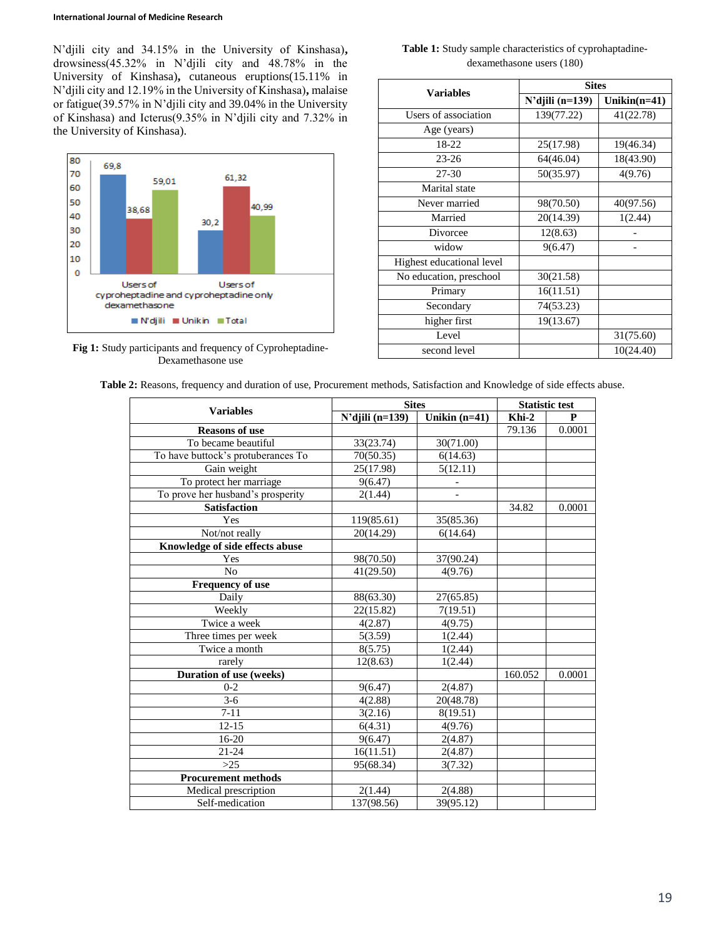N'djili city and 34.15% in the University of Kinshasa)**,** drowsiness(45.32% in N'djili city and 48.78% in the University of Kinshasa)**,** cutaneous eruptions(15.11% in N'djili city and 12.19% in the University of Kinshasa)**,** malaise or fatigue(39.57% in N'djili city and 39.04% in the University of Kinshasa) and Icterus(9.35% in N'djili city and 7.32% in the University of Kinshasa).



**Fig 1:** Study participants and frequency of Cyproheptadine-Dexamethasone use

| <b>Table 1:</b> Study sample characteristics of cyprohaptadine- |  |
|-----------------------------------------------------------------|--|
| dexamethasone users (180)                                       |  |

| <b>Variables</b>          | <b>Sites</b>       |                |  |  |
|---------------------------|--------------------|----------------|--|--|
|                           | $N'$ djili (n=139) | $Unikin(n=41)$ |  |  |
| Users of association      | 139(77.22)         | 41(22.78)      |  |  |
| Age (years)               |                    |                |  |  |
| 18-22                     | 25(17.98)          | 19(46.34)      |  |  |
| $23 - 26$                 | 64(46.04)          | 18(43.90)      |  |  |
| 27-30                     | 50(35.97)          | 4(9.76)        |  |  |
| Marital state             |                    |                |  |  |
| Never married             | 98(70.50)          | 40(97.56)      |  |  |
| Married                   | 20(14.39)          | 1(2.44)        |  |  |
| Divorcee                  | 12(8.63)           |                |  |  |
| widow                     | 9(6.47)            |                |  |  |
| Highest educational level |                    |                |  |  |
| No education, preschool   | 30(21.58)          |                |  |  |
| Primary                   | 16(11.51)          |                |  |  |
| Secondary                 | 74(53.23)          |                |  |  |
| higher first              | 19(13.67)          |                |  |  |
| Level                     |                    | 31(75.60)      |  |  |
| second level              |                    | 10(24.40)      |  |  |

| Table 2: Reasons, frequency and duration of use, Procurement methods, Satisfaction and Knowledge of side effects abuse. |  |  |
|-------------------------------------------------------------------------------------------------------------------------|--|--|
|-------------------------------------------------------------------------------------------------------------------------|--|--|

| $N'$ djili (n=139)<br>Khi-2<br>Unikin $(n=41)$<br>$\mathbf{P}$<br><b>Reasons of use</b><br>79.136<br>0.0001<br>To became beautiful<br>30(71.00)<br>33(23.74)<br>To have buttock's protuberances To<br>70(50.35)<br>6(14.63)<br>Gain weight<br>25(17.98)<br>5(12.11)<br>To protect her marriage<br>9(6.47)<br>To prove her husband's prosperity<br>2(1.44)<br><b>Satisfaction</b><br>34.82<br>0.0001<br>Yes<br>119(85.61)<br>35(85.36)<br>Not/not really<br>20(14.29)<br>6(14.64)<br>Knowledge of side effects abuse<br>Yes<br>98(70.50)<br>37(90.24)<br>$\rm No$<br>41(29.50)<br>4(9.76)<br>Frequency of use<br>Daily<br>88(63.30)<br>27(65.85)<br>Weekly<br>22(15.82)<br>7(19.51)<br>Twice a week<br>4(2.87)<br>4(9.75)<br>Three times per week<br>5(3.59)<br>1(2.44)<br>8(5.75)<br>Twice a month<br>1(2.44)<br>rarely<br>12(8.63)<br>1(2.44)<br>Duration of use (weeks)<br>160.052<br>0.0001<br>$0 - 2$<br>2(4.87)<br>9(6.47)<br>$3-6$<br>4(2.88)<br>20(48.78)<br>$7 - 11$<br>3(2.16)<br>8(19.51)<br>$12 - 15$<br>6(4.31)<br>4(9.76)<br>$16-20$<br>9(6.47)<br>2(4.87)<br>21-24<br>16(11.51)<br>2(4.87)<br>$>25$<br>95(68.34)<br>3(7.32)<br><b>Procurement methods</b><br>2(1.44)<br>Medical prescription<br>2(4.88)<br>Self-medication<br>137(98.56)<br>39(95.12) |                  | <b>Sites</b> |  | <b>Statistic test</b> |  |
|---------------------------------------------------------------------------------------------------------------------------------------------------------------------------------------------------------------------------------------------------------------------------------------------------------------------------------------------------------------------------------------------------------------------------------------------------------------------------------------------------------------------------------------------------------------------------------------------------------------------------------------------------------------------------------------------------------------------------------------------------------------------------------------------------------------------------------------------------------------------------------------------------------------------------------------------------------------------------------------------------------------------------------------------------------------------------------------------------------------------------------------------------------------------------------------------------------------------------------------------------------------------|------------------|--------------|--|-----------------------|--|
|                                                                                                                                                                                                                                                                                                                                                                                                                                                                                                                                                                                                                                                                                                                                                                                                                                                                                                                                                                                                                                                                                                                                                                                                                                                                     | <b>Variables</b> |              |  |                       |  |
|                                                                                                                                                                                                                                                                                                                                                                                                                                                                                                                                                                                                                                                                                                                                                                                                                                                                                                                                                                                                                                                                                                                                                                                                                                                                     |                  |              |  |                       |  |
|                                                                                                                                                                                                                                                                                                                                                                                                                                                                                                                                                                                                                                                                                                                                                                                                                                                                                                                                                                                                                                                                                                                                                                                                                                                                     |                  |              |  |                       |  |
|                                                                                                                                                                                                                                                                                                                                                                                                                                                                                                                                                                                                                                                                                                                                                                                                                                                                                                                                                                                                                                                                                                                                                                                                                                                                     |                  |              |  |                       |  |
|                                                                                                                                                                                                                                                                                                                                                                                                                                                                                                                                                                                                                                                                                                                                                                                                                                                                                                                                                                                                                                                                                                                                                                                                                                                                     |                  |              |  |                       |  |
|                                                                                                                                                                                                                                                                                                                                                                                                                                                                                                                                                                                                                                                                                                                                                                                                                                                                                                                                                                                                                                                                                                                                                                                                                                                                     |                  |              |  |                       |  |
|                                                                                                                                                                                                                                                                                                                                                                                                                                                                                                                                                                                                                                                                                                                                                                                                                                                                                                                                                                                                                                                                                                                                                                                                                                                                     |                  |              |  |                       |  |
|                                                                                                                                                                                                                                                                                                                                                                                                                                                                                                                                                                                                                                                                                                                                                                                                                                                                                                                                                                                                                                                                                                                                                                                                                                                                     |                  |              |  |                       |  |
|                                                                                                                                                                                                                                                                                                                                                                                                                                                                                                                                                                                                                                                                                                                                                                                                                                                                                                                                                                                                                                                                                                                                                                                                                                                                     |                  |              |  |                       |  |
|                                                                                                                                                                                                                                                                                                                                                                                                                                                                                                                                                                                                                                                                                                                                                                                                                                                                                                                                                                                                                                                                                                                                                                                                                                                                     |                  |              |  |                       |  |
|                                                                                                                                                                                                                                                                                                                                                                                                                                                                                                                                                                                                                                                                                                                                                                                                                                                                                                                                                                                                                                                                                                                                                                                                                                                                     |                  |              |  |                       |  |
|                                                                                                                                                                                                                                                                                                                                                                                                                                                                                                                                                                                                                                                                                                                                                                                                                                                                                                                                                                                                                                                                                                                                                                                                                                                                     |                  |              |  |                       |  |
|                                                                                                                                                                                                                                                                                                                                                                                                                                                                                                                                                                                                                                                                                                                                                                                                                                                                                                                                                                                                                                                                                                                                                                                                                                                                     |                  |              |  |                       |  |
|                                                                                                                                                                                                                                                                                                                                                                                                                                                                                                                                                                                                                                                                                                                                                                                                                                                                                                                                                                                                                                                                                                                                                                                                                                                                     |                  |              |  |                       |  |
|                                                                                                                                                                                                                                                                                                                                                                                                                                                                                                                                                                                                                                                                                                                                                                                                                                                                                                                                                                                                                                                                                                                                                                                                                                                                     |                  |              |  |                       |  |
|                                                                                                                                                                                                                                                                                                                                                                                                                                                                                                                                                                                                                                                                                                                                                                                                                                                                                                                                                                                                                                                                                                                                                                                                                                                                     |                  |              |  |                       |  |
|                                                                                                                                                                                                                                                                                                                                                                                                                                                                                                                                                                                                                                                                                                                                                                                                                                                                                                                                                                                                                                                                                                                                                                                                                                                                     |                  |              |  |                       |  |
|                                                                                                                                                                                                                                                                                                                                                                                                                                                                                                                                                                                                                                                                                                                                                                                                                                                                                                                                                                                                                                                                                                                                                                                                                                                                     |                  |              |  |                       |  |
|                                                                                                                                                                                                                                                                                                                                                                                                                                                                                                                                                                                                                                                                                                                                                                                                                                                                                                                                                                                                                                                                                                                                                                                                                                                                     |                  |              |  |                       |  |
|                                                                                                                                                                                                                                                                                                                                                                                                                                                                                                                                                                                                                                                                                                                                                                                                                                                                                                                                                                                                                                                                                                                                                                                                                                                                     |                  |              |  |                       |  |
|                                                                                                                                                                                                                                                                                                                                                                                                                                                                                                                                                                                                                                                                                                                                                                                                                                                                                                                                                                                                                                                                                                                                                                                                                                                                     |                  |              |  |                       |  |
|                                                                                                                                                                                                                                                                                                                                                                                                                                                                                                                                                                                                                                                                                                                                                                                                                                                                                                                                                                                                                                                                                                                                                                                                                                                                     |                  |              |  |                       |  |
|                                                                                                                                                                                                                                                                                                                                                                                                                                                                                                                                                                                                                                                                                                                                                                                                                                                                                                                                                                                                                                                                                                                                                                                                                                                                     |                  |              |  |                       |  |
|                                                                                                                                                                                                                                                                                                                                                                                                                                                                                                                                                                                                                                                                                                                                                                                                                                                                                                                                                                                                                                                                                                                                                                                                                                                                     |                  |              |  |                       |  |
|                                                                                                                                                                                                                                                                                                                                                                                                                                                                                                                                                                                                                                                                                                                                                                                                                                                                                                                                                                                                                                                                                                                                                                                                                                                                     |                  |              |  |                       |  |
|                                                                                                                                                                                                                                                                                                                                                                                                                                                                                                                                                                                                                                                                                                                                                                                                                                                                                                                                                                                                                                                                                                                                                                                                                                                                     |                  |              |  |                       |  |
|                                                                                                                                                                                                                                                                                                                                                                                                                                                                                                                                                                                                                                                                                                                                                                                                                                                                                                                                                                                                                                                                                                                                                                                                                                                                     |                  |              |  |                       |  |
|                                                                                                                                                                                                                                                                                                                                                                                                                                                                                                                                                                                                                                                                                                                                                                                                                                                                                                                                                                                                                                                                                                                                                                                                                                                                     |                  |              |  |                       |  |
|                                                                                                                                                                                                                                                                                                                                                                                                                                                                                                                                                                                                                                                                                                                                                                                                                                                                                                                                                                                                                                                                                                                                                                                                                                                                     |                  |              |  |                       |  |
|                                                                                                                                                                                                                                                                                                                                                                                                                                                                                                                                                                                                                                                                                                                                                                                                                                                                                                                                                                                                                                                                                                                                                                                                                                                                     |                  |              |  |                       |  |
|                                                                                                                                                                                                                                                                                                                                                                                                                                                                                                                                                                                                                                                                                                                                                                                                                                                                                                                                                                                                                                                                                                                                                                                                                                                                     |                  |              |  |                       |  |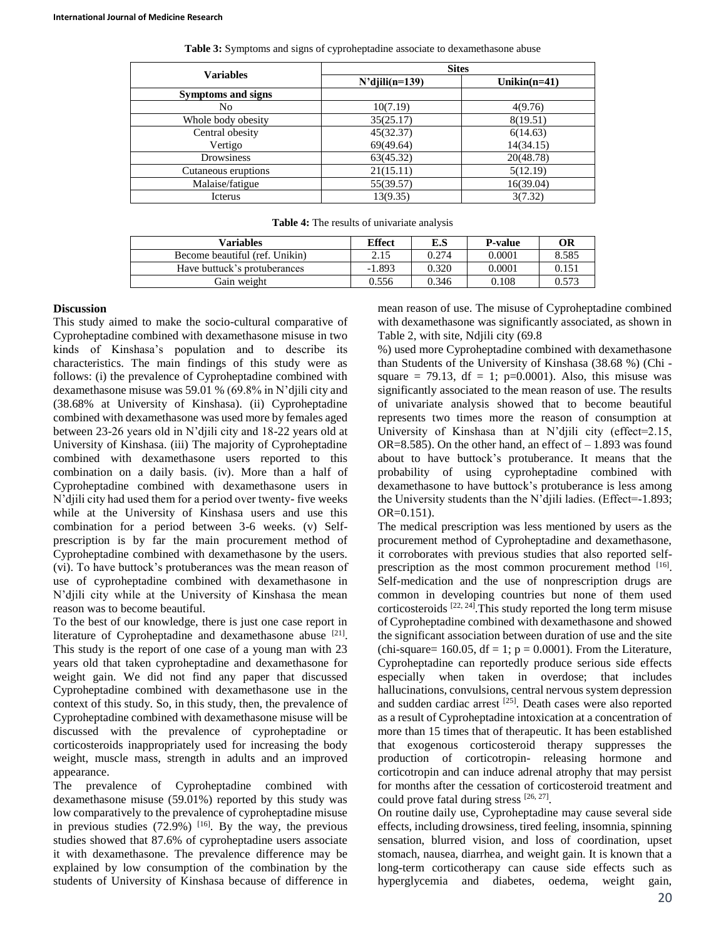| <b>Variables</b>    | <b>Sites</b>      |                 |  |
|---------------------|-------------------|-----------------|--|
|                     | $N'$ djili(n=139) | Unikin $(n=41)$ |  |
| Symptoms and signs  |                   |                 |  |
| No                  | 10(7.19)          | 4(9.76)         |  |
| Whole body obesity  | 35(25.17)         | 8(19.51)        |  |
| Central obesity     | 45(32.37)         | 6(14.63)        |  |
| Vertigo             | 69(49.64)         | 14(34.15)       |  |
| Drowsiness          | 63(45.32)         | 20(48.78)       |  |
| Cutaneous eruptions | 21(15.11)         | 5(12.19)        |  |
| Malaise/fatigue     | 55(39.57)         | 16(39.04)       |  |
| Icterus             | 13(9.35)          | 3(7.32)         |  |

**Table 3:** Symptoms and signs of cyproheptadine associate to dexamethasone abuse

| <b>Table 4:</b> The results of univariate analysis |  |
|----------------------------------------------------|--|
|----------------------------------------------------|--|

| Variables                      | <b>Effect</b> | E.S   | <b>P-value</b> | <b>OR</b> |
|--------------------------------|---------------|-------|----------------|-----------|
| Become beautiful (ref. Unikin) | 2.15          | 0.274 | 0.0001         | 8.585     |
| Have buttuck's protuberances   | $-1.893$      | 0.320 | 0.0001         | 0.151     |
| Gain weight                    | 0.556         | 0.346 | 0.108          | 0.573     |

### **Discussion**

This study aimed to make the socio-cultural comparative of Cyproheptadine combined with dexamethasone misuse in two kinds of Kinshasa's population and to describe its characteristics. The main findings of this study were as follows: (i) the prevalence of Cyproheptadine combined with dexamethasone misuse was 59.01 % (69.8% in N'djili city and (38.68% at University of Kinshasa). (ii) Cyproheptadine combined with dexamethasone was used more by females aged between 23-26 years old in N'djili city and 18-22 years old at University of Kinshasa. (iii) The majority of Cyproheptadine combined with dexamethasone users reported to this combination on a daily basis. (iv). More than a half of Cyproheptadine combined with dexamethasone users in N'djili city had used them for a period over twenty- five weeks while at the University of Kinshasa users and use this combination for a period between 3-6 weeks. (v) Selfprescription is by far the main procurement method of Cyproheptadine combined with dexamethasone by the users. (vi). To have buttock's protuberances was the mean reason of use of cyproheptadine combined with dexamethasone in N'djili city while at the University of Kinshasa the mean reason was to become beautiful.

To the best of our knowledge, there is just one case report in literature of Cyproheptadine and dexamethasone abuse  $[21]$ . This study is the report of one case of a young man with 23 years old that taken cyproheptadine and dexamethasone for weight gain. We did not find any paper that discussed Cyproheptadine combined with dexamethasone use in the context of this study. So, in this study, then, the prevalence of Cyproheptadine combined with dexamethasone misuse will be discussed with the prevalence of cyproheptadine or corticosteroids inappropriately used for increasing the body weight, muscle mass, strength in adults and an improved appearance.

The prevalence of Cyproheptadine combined with dexamethasone misuse (59.01%) reported by this study was low comparatively to the prevalence of cyproheptadine misuse in previous studies  $(72.9%)$  <sup>[16]</sup>. By the way, the previous studies showed that 87.6% of cyproheptadine users associate it with dexamethasone. The prevalence difference may be explained by low consumption of the combination by the students of University of Kinshasa because of difference in mean reason of use. The misuse of Cyproheptadine combined with dexamethasone was significantly associated, as shown in Table 2, with site, Ndjili city (69.8

%) used more Cyproheptadine combined with dexamethasone than Students of the University of Kinshasa (38.68 %) (Chi square = 79.13, df = 1; p=0.0001). Also, this misuse was significantly associated to the mean reason of use. The results of univariate analysis showed that to become beautiful represents two times more the reason of consumption at University of Kinshasa than at N'djili city (effect=2.15, OR=8.585). On the other hand, an effect of  $-1.893$  was found about to have buttock's protuberance. It means that the probability of using cyproheptadine combined with dexamethasone to have buttock's protuberance is less among the University students than the N'djili ladies. (Effect=-1.893; OR=0.151).

The medical prescription was less mentioned by users as the procurement method of Cyproheptadine and dexamethasone, it corroborates with previous studies that also reported selfprescription as the most common procurement method [16]. Self-medication and the use of nonprescription drugs are common in developing countries but none of them used corticosteroids  $[22, 24]$ . This study reported the long term misuse of Cyproheptadine combined with dexamethasone and showed the significant association between duration of use and the site (chi-square=  $160.05$ , df = 1; p = 0.0001). From the Literature, Cyproheptadine can reportedly produce serious side effects especially when taken in overdose; that includes hallucinations, convulsions, central nervous system depression and sudden cardiac arrest [25]. Death cases were also reported as a result of Cyproheptadine intoxication at a concentration of more than 15 times that of therapeutic. It has been established that exogenous corticosteroid therapy suppresses the production of corticotropin- releasing hormone and corticotropin and can induce adrenal atrophy that may persist for months after the cessation of corticosteroid treatment and could prove fatal during stress  $[26, 27]$ .

On routine daily use, Cyproheptadine may cause several side effects, including drowsiness, tired feeling, insomnia, spinning sensation, blurred vision, and loss of coordination, upset stomach, nausea, diarrhea, and weight gain. It is known that a long-term corticotherapy can cause side effects such as hyperglycemia and diabetes, oedema, weight gain,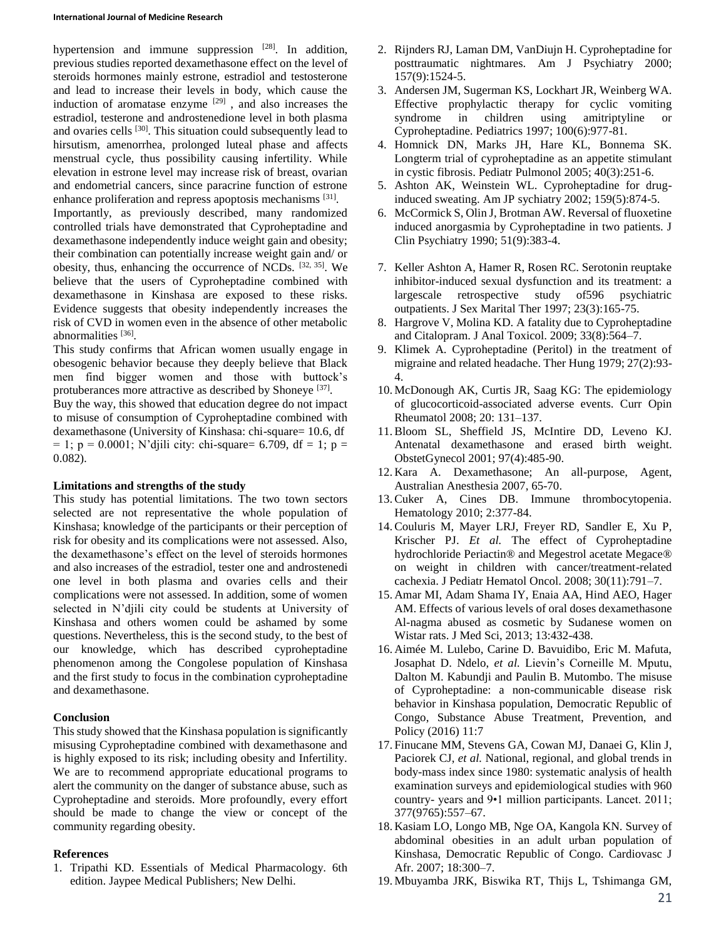hypertension and immune suppression  $[28]$ . In addition, previous studies reported dexamethasone effect on the level of steroids hormones mainly estrone, estradiol and testosterone and lead to increase their levels in body, which cause the induction of aromatase enzyme  $[29]$ , and also increases the estradiol, testerone and androstenedione level in both plasma and ovaries cells <sup>[30]</sup>. This situation could subsequently lead to hirsutism, amenorrhea, prolonged luteal phase and affects menstrual cycle, thus possibility causing infertility. While elevation in estrone level may increase risk of breast, ovarian and endometrial cancers, since paracrine function of estrone enhance proliferation and repress apoptosis mechanisms [31]. Importantly, as previously described, many randomized controlled trials have demonstrated that Cyproheptadine and dexamethasone independently induce weight gain and obesity; their combination can potentially increase weight gain and/ or obesity, thus, enhancing the occurrence of NCDs. [32, 35]. We

believe that the users of Cyproheptadine combined with dexamethasone in Kinshasa are exposed to these risks. Evidence suggests that obesity independently increases the risk of CVD in women even in the absence of other metabolic abnormalities<sup>[36]</sup>.

This study confirms that African women usually engage in obesogenic behavior because they deeply believe that Black men find bigger women and those with buttock's protuberances more attractive as described by Shoneye<sup>[37]</sup>. Buy the way, this showed that education degree do not impact to misuse of consumption of Cyproheptadine combined with dexamethasone (University of Kinshasa: chi-square= 10.6, df  $= 1$ ;  $p = 0.0001$ ; N'djili city: chi-square= 6.709, df = 1;  $p =$ 0.082).

#### **Limitations and strengths of the study**

This study has potential limitations. The two town sectors selected are not representative the whole population of Kinshasa; knowledge of the participants or their perception of risk for obesity and its complications were not assessed. Also, the dexamethasone's effect on the level of steroids hormones and also increases of the estradiol, tester one and androstenedi one level in both plasma and ovaries cells and their complications were not assessed. In addition, some of women selected in N'djili city could be students at University of Kinshasa and others women could be ashamed by some questions. Nevertheless, this is the second study, to the best of our knowledge, which has described cyproheptadine phenomenon among the Congolese population of Kinshasa and the first study to focus in the combination cyproheptadine and dexamethasone.

# **Conclusion**

This study showed that the Kinshasa population is significantly misusing Cyproheptadine combined with dexamethasone and is highly exposed to its risk; including obesity and Infertility. We are to recommend appropriate educational programs to alert the community on the danger of substance abuse, such as Cyproheptadine and steroids. More profoundly, every effort should be made to change the view or concept of the community regarding obesity.

# **References**

1. Tripathi KD. Essentials of Medical Pharmacology. 6th edition. Jaypee Medical Publishers; New Delhi.

- 2. Rijnders RJ, Laman DM, VanDiujn H. Cyproheptadine for posttraumatic nightmares. Am J Psychiatry 2000; 157(9):1524-5.
- 3. Andersen JM, Sugerman KS, Lockhart JR, Weinberg WA. Effective prophylactic therapy for cyclic vomiting syndrome in children using amitriptyline or Cyproheptadine. Pediatrics 1997; 100(6):977-81.
- 4. Homnick DN, Marks JH, Hare KL, Bonnema SK. Longterm trial of cyproheptadine as an appetite stimulant in cystic fibrosis. Pediatr Pulmonol 2005; 40(3):251-6.
- 5. Ashton AK, Weinstein WL. Cyproheptadine for druginduced sweating. Am JP sychiatry 2002; 159(5):874-5.
- 6. McCormick S, Olin J, Brotman AW. Reversal of fluoxetine induced anorgasmia by Cyproheptadine in two patients. J Clin Psychiatry 1990; 51(9):383-4.
- 7. Keller Ashton A, Hamer R, Rosen RC. Serotonin reuptake inhibitor-induced sexual dysfunction and its treatment: a largescale retrospective study of596 psychiatric outpatients. J Sex Marital Ther 1997; 23(3):165-75.
- 8. Hargrove V, Molina KD. A fatality due to Cyproheptadine and Citalopram. J Anal Toxicol. 2009; 33(8):564–7.
- 9. Klimek A. Cyproheptadine (Peritol) in the treatment of migraine and related headache. Ther Hung 1979; 27(2):93- 4.
- 10. McDonough AK, Curtis JR, Saag KG: The epidemiology of glucocorticoid-associated adverse events. Curr Opin Rheumatol 2008; 20: 131–137.
- 11.Bloom SL, Sheffield JS, McIntire DD, Leveno KJ. Antenatal dexamethasone and erased birth weight. ObstetGynecol 2001; 97(4):485-90.
- 12. Kara A. Dexamethasone; An all-purpose, Agent, Australian Anesthesia 2007, 65-70.
- 13.Cuker A, Cines DB. Immune thrombocytopenia. Hematology 2010; 2:377-84.
- 14.Couluris M, Mayer LRJ, Freyer RD, Sandler E, Xu P, Krischer PJ. *Et al.* The effect of Cyproheptadine hydrochloride Periactin® and Megestrol acetate Megace® on weight in children with cancer/treatment-related cachexia. J Pediatr Hematol Oncol. 2008; 30(11):791–7.
- 15. Amar MI, Adam Shama IY, Enaia AA, Hind AEO, Hager AM. Effects of various levels of oral doses dexamethasone Al-nagma abused as cosmetic by Sudanese women on Wistar rats. J Med Sci, 2013; 13:432-438.
- 16. Aimée M. Lulebo, Carine D. Bavuidibo, Eric M. Mafuta, Josaphat D. Ndelo, *et al.* Lievin's Corneille M. Mputu, Dalton M. Kabundji and Paulin B. Mutombo. The misuse of Cyproheptadine: a non-communicable disease risk behavior in Kinshasa population, Democratic Republic of Congo, Substance Abuse Treatment, Prevention, and Policy (2016) 11:7
- 17. Finucane MM, Stevens GA, Cowan MJ, Danaei G, Klin J, Paciorek CJ, *et al.* National, regional, and global trends in body-mass index since 1980: systematic analysis of health examination surveys and epidemiological studies with 960 country- years and 9•1 million participants. Lancet. 2011; 377(9765):557–67.
- 18. Kasiam LO, Longo MB, Nge OA, Kangola KN. Survey of abdominal obesities in an adult urban population of Kinshasa, Democratic Republic of Congo. Cardiovasc J Afr. 2007; 18:300–7.
- 19. Mbuyamba JRK, Biswika RT, Thijs L, Tshimanga GM,